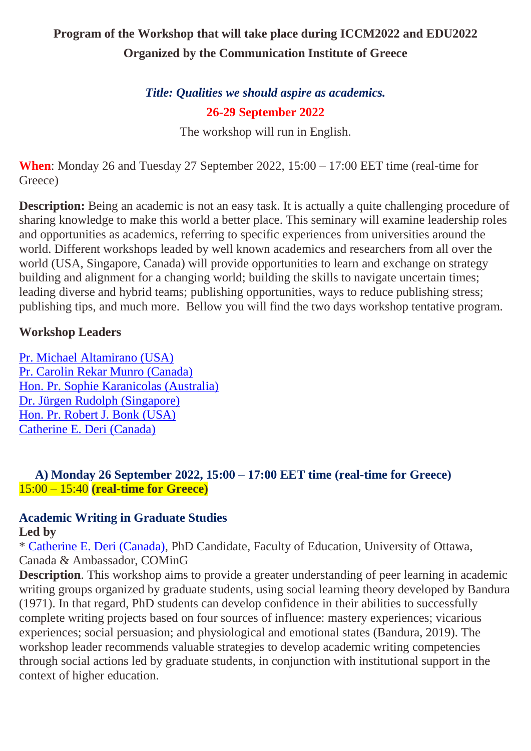# **Program of the Workshop that will take place during ICCM2022 and EDU2022 Organized by the Communication Institute of Greece**

# *Title: Qualities we should aspire as academics.* **26-29 September 2022**

The workshop will run in English.

**When**: Monday 26 and Tuesday 27 September 2022, 15:00 – 17:00 EET time (real-time for Greece)

**Description:** Being an academic is not an easy task. It is actually a quite challenging procedure of sharing knowledge to make this world a better place. This seminary will examine leadership roles and opportunities as academics, referring to specific experiences from universities around the world. Different workshops leaded by well known academics and researchers from all over the world (USA, Singapore, Canada) will provide opportunities to learn and exchange on strategy building and alignment for a changing world; building the skills to navigate uncertain times; leading diverse and hybrid teams; publishing opportunities, ways to reduce publishing stress; publishing tips, and much more. Bellow you will find the two days workshop tentative program.

#### **Workshop Leaders**

[Pr. Michael Altamirano \(USA\)](https://coming.gr/wp-content/uploads/2021/02/1_VP_CV_Michael-A.-Altamirano.pdf) [Pr. Carolin Rekar Munro \(Canada\)](https://coming.gr/wp-content/uploads/2021/02/1_VP_CV_Dr-Carolin-Rekar-Munro.pdf) [Hon. Pr.](https://coming.gr/wp-content/uploads/2021/03/1_PR_CV_Dr-Margarita-Kefalaki.pdf) [Sophie Karanicolas \(Australia\)](https://coming.gr/wp-content/uploads/2021/03/1_PR_CV_Dr-Margarita-Kefalaki.pdf) [Dr. Jürgen Rudolph \(Singapore\)](https://coming.gr/wp-content/uploads/2021/02/1_VP_CV_Dr-Jurgen-Rudolph.pdf) [Hon. Pr. Robert J. Bonk \(USA\)](https://coming.gr/wp-content/uploads/2021/02/1_VP_CV_Dr.-Robert-J.-Bonk.pdf) [Catherine E. Deri \(Canada\)](https://www.researchgate.net/profile/Catherine-Deri)

#### **A) Monday 26 September 2022, 15:00 – 17:00 EET time (real-time for Greece)** 15:00 – 15:40 **(real-time for Greece)**

# **Academic Writing in Graduate Studies**

## **Led by**

\* [Catherine E. Deri \(Canada\),](https://www.researchgate.net/profile/Catherine-Deri) PhD Candidate, Faculty of Education, University of Ottawa, Canada & Ambassador, COMinG

**Description**. This workshop aims to provide a greater understanding of peer learning in academic writing groups organized by graduate students, using social learning theory developed by Bandura (1971). In that regard, PhD students can develop confidence in their abilities to successfully complete writing projects based on four sources of influence: mastery experiences; vicarious experiences; social persuasion; and physiological and emotional states (Bandura, 2019). The workshop leader recommends valuable strategies to develop academic writing competencies through social actions led by graduate students, in conjunction with institutional support in the context of higher education.